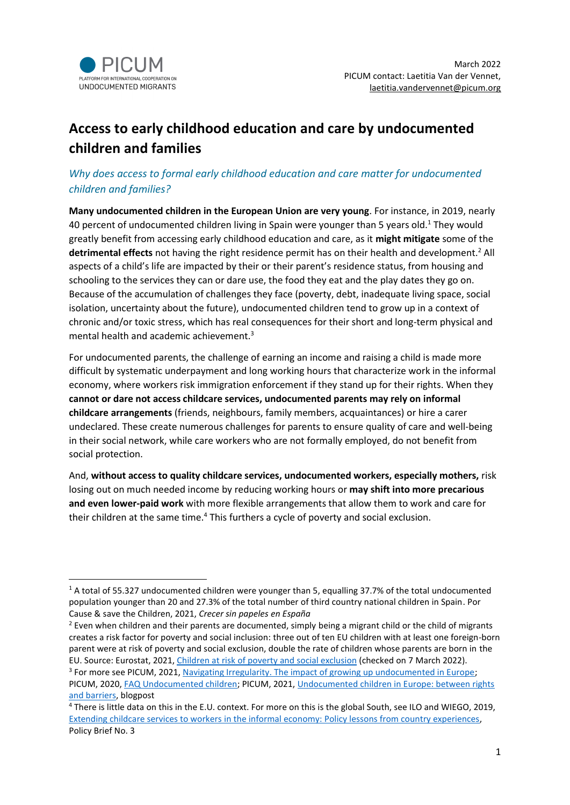

# **Access to early childhood education and care by undocumented children and families**

# *Why does access to formal early childhood education and care matter for undocumented children and families?*

**Many undocumented children in the European Union are very young**. For instance, in 2019, nearly 40 percent of undocumented children living in Spain were younger than 5 years old.<sup>1</sup> They would greatly benefit from accessing early childhood education and care, as it **might mitigate** some of the detrimental effects not having the right residence permit has on their health and development.<sup>2</sup> All aspects of a child's life are impacted by their or their parent's residence status, from housing and schooling to the services they can or dare use, the food they eat and the play dates they go on. Because of the accumulation of challenges they face (poverty, debt, inadequate living space, social isolation, uncertainty about the future), undocumented children tend to grow up in a context of chronic and/or toxic stress, which has real consequences for their short and long-term physical and mental health and academic achievement.<sup>3</sup>

For undocumented parents, the challenge of earning an income and raising a child is made more difficult by systematic underpayment and long working hours that characterize work in the informal economy, where workers risk immigration enforcement if they stand up for their rights. When they **cannot or dare not access childcare services, undocumented parents may rely on informal childcare arrangements** (friends, neighbours, family members, acquaintances) or hire a carer undeclared. These create numerous challenges for parents to ensure quality of care and well-being in their social network, while care workers who are not formally employed, do not benefit from social protection.

And, **without access to quality childcare services, undocumented workers, especially mothers,** risk losing out on much needed income by reducing working hours or **may shift into more precarious and even lower-paid work** with more flexible arrangements that allow them to work and care for their children at the same time.<sup>4</sup> This furthers a cycle of poverty and social exclusion.

<sup>&</sup>lt;sup>1</sup> A total of 55.327 undocumented children were younger than 5, equalling 37.7% of the total undocumented population younger than 20 and 27.3% of the total number of third country national children in Spain. Por Cause & save the Children, 2021, *Crecer sin papeles en España*

 $2$  Even when children and their parents are documented, simply being a migrant child or the child of migrants creates a risk factor for poverty and social inclusion: three out of ten EU children with at least one foreign-born parent were at risk of poverty and social exclusion, double the rate of children whose parents are born in the EU. Source: Eurostat, 2021, [Children at risk of poverty and](https://ec.europa.eu/eurostat/statistics-explained/index.php?title=Children_at_risk_of_poverty_or_social_exclusion#Parents.E2.80.99_country_of_birth_and_the_risk_of_poverty:_migrant_background_also_matters) social exclusion (checked on 7 March 2022). <sup>3</sup> For more see PICUM, 2021, [Navigating Irregularity. The impact of growing up undocumented in Europe;](https://picum.org/wp-content/uploads/2021/03/Navigating-Irregularity_EN.pdf) PICUM, 2020, [FAQ Undocumented children;](https://picum.org/faqs-undocumented-children/) PICUM, 2021[, Undocumented children in Europe: between rights](https://picum.org/undocumented-children-europe-between-rights-and-barriers/)  [and barriers,](https://picum.org/undocumented-children-europe-between-rights-and-barriers/) blogpost

<sup>4</sup> There is little data on this in the E.U. context. For more on this is the global South, see ILO and WIEGO, 2019, Extending childcare services to workers in the informal economy: [Policy lessons from country experiences,](https://www.ilo.org/wcmsp5/groups/public/---dgreports/---gender/documents/genericdocument/wcms_737555.pdf) Policy Brief No. 3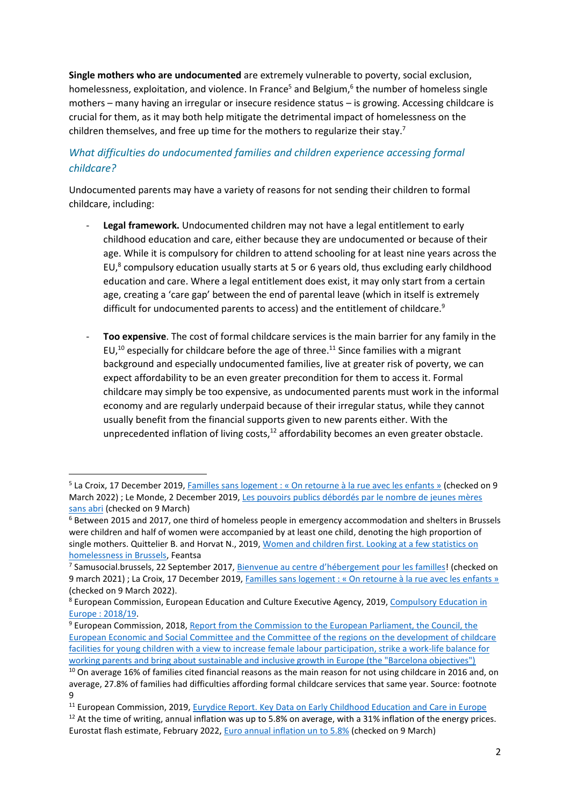**Single mothers who are undocumented** are extremely vulnerable to poverty, social exclusion, homelessness, exploitation, and violence. In France<sup>5</sup> and Belgium,<sup>6</sup> the number of homeless single mothers – many having an irregular or insecure residence status – is growing. Accessing childcare is crucial for them, as it may both help mitigate the detrimental impact of homelessness on the children themselves, and free up time for the mothers to regularize their stay.<sup>7</sup>

# *What difficulties do undocumented families and children experience accessing formal childcare?*

Undocumented parents may have a variety of reasons for not sending their children to formal childcare, including:

- Legal framework. Undocumented children may not have a legal entitlement to early childhood education and care, either because they are undocumented or because of their age. While it is compulsory for children to attend schooling for at least nine years across the EU, $^8$  compulsory education usually starts at 5 or 6 years old, thus excluding early childhood education and care. Where a legal entitlement does exist, it may only start from a certain age, creating a 'care gap' between the end of parental leave (which in itself is extremely difficult for undocumented parents to access) and the entitlement of childcare.<sup>9</sup>
- Too expensive. The cost of formal childcare services is the main barrier for any family in the EU, $^{10}$  especially for childcare before the age of three.<sup>11</sup> Since families with a migrant background and especially undocumented families, live at greater risk of poverty, we can expect affordability to be an even greater precondition for them to access it. Formal childcare may simply be too expensive, as undocumented parents must work in the informal economy and are regularly underpaid because of their irregular status, while they cannot usually benefit from the financial supports given to new parents either. With the unprecedented inflation of living costs, $12$  affordability becomes an even greater obstacle.

<sup>&</sup>lt;sup>5</sup> La Croix, 17 December 2019, Familles sans logement : « On retourne à la rue avec les enfants » (checked on 9 March 2022) ; Le Monde, 2 December 2019, [Les pouvoirs publics débordés par le nombre de jeunes mères](https://www.lemonde.fr/societe/article/2019/12/02/les-pouvoirs-publics-debordes-par-le-nombre-de-jeunes-meres-sans-abri_6021284_3224.html)  [sans abri](https://www.lemonde.fr/societe/article/2019/12/02/les-pouvoirs-publics-debordes-par-le-nombre-de-jeunes-meres-sans-abri_6021284_3224.html) (checked on 9 March)

<sup>6</sup> Between 2015 and 2017, one third of homeless people in emergency accommodation and shelters in Brussels were children and half of women were accompanied by at least one child, denoting the high proportion of single mothers. Quittelier B. and Horvat N., 2019[, Women and children first. Looking at a few statistics on](https://www.feantsa.org/public/user/Resources/magazine/2019/Autumn/7._Women_and_children_first_-_Looking_at_a_few_statistics_on_Homelessness_in_brussels._Benoit_Quittelier_et_Nicholas_Hovart.pdf)  [homelessness in Brussels,](https://www.feantsa.org/public/user/Resources/magazine/2019/Autumn/7._Women_and_children_first_-_Looking_at_a_few_statistics_on_Homelessness_in_brussels._Benoit_Quittelier_et_Nicholas_Hovart.pdf) Feantsa

<sup>&</sup>lt;sup>7</sup> Samusocial.brussels, 22 September 2017, <u>Bienvenue au centre d'hébergement pour les familles</u>! (checked on 9 march 2021) ; La Croix, 17 December 2019, [Familles sans logement : « On retourne à la rue avec les enfants »](https://www.la-croix.com/France/Exclusion/Familles-sans-logements-On-retourne-rue-enfants-2019-12-17-1201067072) (checked on 9 March 2022).

<sup>8</sup> European Commission, European Education and Culture Executive Agency, 2019, [Compulsory Education in](https://data.europa.eu/doi/10.2797/20126)  [Europe : 2018/19.](https://data.europa.eu/doi/10.2797/20126) 

<sup>9</sup> European Commission, 2018, [Report from the Commission to the European Parliament, the Council, the](https://eur-lex.europa.eu/legal-content/EN/TXT/?uri=CELEX%3A52018DC0273)  [European Economic and Social Committee and the Committee of the regions on the development of childcare](https://eur-lex.europa.eu/legal-content/EN/TXT/?uri=CELEX%3A52018DC0273)  [facilities for young children with a view to increase female labour participation, strike a work-life balance for](https://eur-lex.europa.eu/legal-content/EN/TXT/?uri=CELEX%3A52018DC0273)  [working parents and bring about sustainable and inclusive growth in Europe \(the "Barcelona objectives"\)](https://eur-lex.europa.eu/legal-content/EN/TXT/?uri=CELEX%3A52018DC0273)

<sup>&</sup>lt;sup>10</sup> On average 16% of families cited financial reasons as the main reason for not using childcare in 2016 and, on average, 27.8% of families had difficulties affording formal childcare services that same year. Source: footnote 9

<sup>&</sup>lt;sup>11</sup> European Commission, 2019[, Eurydice Report. Key Data on Early Childhood Education and Care in Europe](file:///C:/Users/lvande/Downloads/EC0319375ENN.en.pdf)

<sup>&</sup>lt;sup>12</sup> At the time of writing, annual inflation was up to 5.8% on average, with a 31% inflation of the energy prices. Eurostat flash estimate, February 2022, [Euro annual inflation un to 5.8%](https://ec.europa.eu/eurostat/documents/2995521/14358044/2-02032022-AP-EN.pdf/617fee08-c46f-453a-a308-4fa3d33f4aae#:~:text=Euro%20area%20annual%20inflation%20is,office%20of%20the%20European%20Union.) (checked on 9 March)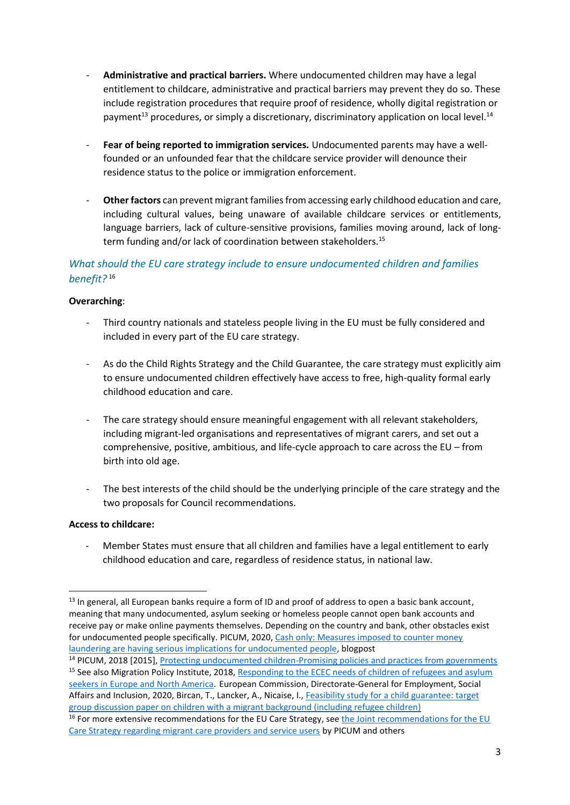- **Administrative and practical barriers.** Where undocumented children may have a legal entitlement to childcare, administrative and practical barriers may prevent they do so. These include registration procedures that require proof of residence, wholly digital registration or payment<sup>13</sup> procedures, or simply a discretionary, discriminatory application on local level.<sup>14</sup>
- **Fear of being reported to immigration services.** Undocumented parents may have a wellfounded or an unfounded fear that the childcare service provider will denounce their residence status to the police or immigration enforcement.
- **Other factors** can prevent migrant families from accessing early childhood education and care, including cultural values, being unaware of available childcare services or entitlements, language barriers, lack of culture-sensitive provisions, families moving around, lack of longterm funding and/or lack of coordination between stakeholders.<sup>15</sup>

# *What should the EU care strategy include to ensure undocumented children and families benefit?* 16

## **Overarching**:

- Third country nationals and stateless people living in the EU must be fully considered and included in every part of the EU care strategy.
- As do the Child Rights Strategy and the Child Guarantee, the care strategy must explicitly aim to ensure undocumented children effectively have access to free, high-quality formal early childhood education and care.
- The care strategy should ensure meaningful engagement with all relevant stakeholders, including migrant-led organisations and representatives of migrant carers, and set out a comprehensive, positive, ambitious, and life-cycle approach to care across the EU – from birth into old age.
- The best interests of the child should be the underlying principle of the care strategy and the two proposals for Council recommendations.

## **Access to childcare:**

Member States must ensure that all children and families have a legal entitlement to early childhood education and care, regardless of residence status, in national law.

 $13$  In general, all European banks require a form of ID and proof of address to open a basic bank account, meaning that many undocumented, asylum seeking or homeless people cannot open bank accounts and receive pay or make online payments themselves. Depending on the country and bank, other obstacles exist for undocumented people specifically. PICUM, 2020[, Cash only: Measures imposed to counter money](https://picum.org/cash-only-measures-imposed-to-counter-money-laundering-are-having-serious-implications-for-undocumented-people/)  [laundering are having serious implications for undocumented people,](https://picum.org/cash-only-measures-imposed-to-counter-money-laundering-are-having-serious-implications-for-undocumented-people/) blogpost

<sup>&</sup>lt;sup>14</sup> PICUM, 2018 [2015], [Protecting undocumented children-Promising policies and practices from governments](https://picum.org/wp-content/uploads/2019/10/Protecting-undocumented-children-Promising-policies-and-practices-from-governments_ReprintJan.2018.pdf) <sup>15</sup> See also Migration Policy Institute, 2018, Responding to the ECEC needs of children of refugees and asylum [seekers in Europe and North America.](https://www.migrationpolicy.org/sites/default/files/publications/ECECforRefugeeChildren_FINALWEB.pdf) European Commission, Directorate-General for Employment, Social Affairs and Inclusion, 2020, Bircan, T., Lancker, A., Nicaise, I., [Feasibility study for a child guarantee: target](https://data.europa.eu/doi/10.2767/163382)  [group discussion paper on children with a migrant background \(including refugee children\)](https://data.europa.eu/doi/10.2767/163382)

<sup>&</sup>lt;sup>16</sup> For more extensive recommendations for the EU Care Strategy, see the Joint recommendations for the EU [Care Strategy regarding migrant care providers and service users](https://picum.org/wp-content/uploads/2022/03/Joint-recommendations-EU-Care-Strategy-migrant-care-providers-and-service-users-17-March.pdf) by PICUM and others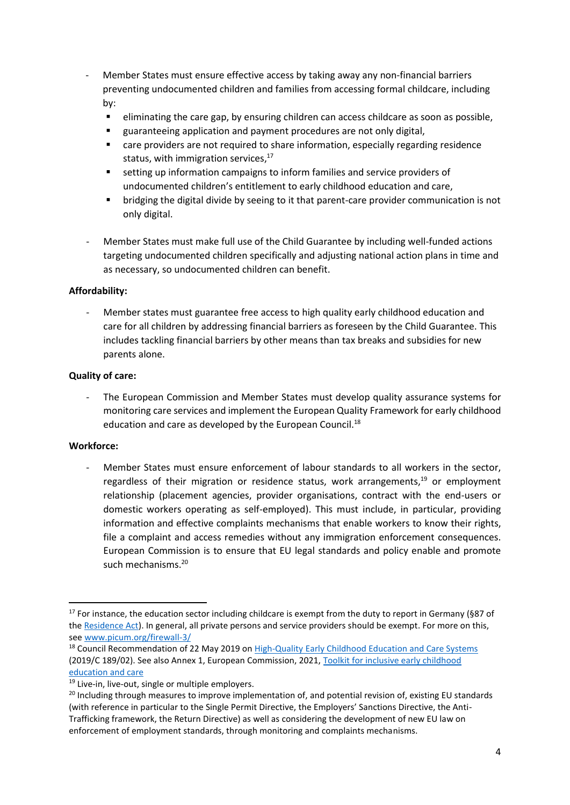- Member States must ensure effective access by taking away any non-financial barriers preventing undocumented children and families from accessing formal childcare, including by:
	- eliminating the care gap, by ensuring children can access childcare as soon as possible,
	- guaranteeing application and payment procedures are not only digital,
	- care providers are not required to share information, especially regarding residence status, with immigration services, 17
	- setting up information campaigns to inform families and service providers of undocumented children's entitlement to early childhood education and care,
	- bridging the digital divide by seeing to it that parent-care provider communication is not only digital.
- Member States must make full use of the Child Guarantee by including well-funded actions targeting undocumented children specifically and adjusting national action plans in time and as necessary, so undocumented children can benefit.

## **Affordability:**

- Member states must guarantee free access to high quality early childhood education and care for all children by addressing financial barriers as foreseen by the Child Guarantee. This includes tackling financial barriers by other means than tax breaks and subsidies for new parents alone.

## **Quality of care:**

The European Commission and Member States must develop quality assurance systems for monitoring care services and implement the European Quality Framework for early childhood education and care as developed by the European Council.<sup>18</sup>

#### **Workforce:**

Member States must ensure enforcement of labour standards to all workers in the sector. regardless of their migration or residence status, work arrangements,<sup>19</sup> or employment relationship (placement agencies, provider organisations, contract with the end-users or domestic workers operating as self-employed). This must include, in particular, providing information and effective complaints mechanisms that enable workers to know their rights, file a complaint and access remedies without any immigration enforcement consequences. European Commission is to ensure that EU legal standards and policy enable and promote such mechanisms.<sup>20</sup>

<sup>&</sup>lt;sup>17</sup> For instance, the education sector including childcare is exempt from the duty to report in Germany (§87 of the [Residence Act\)](https://dejure.org/gesetze/AufenthG/87.html). In general, all private persons and service providers should be exempt. For more on this, see [www.picum.org/firewall-3/](http://www.picum.org/firewall-3/)

<sup>&</sup>lt;sup>18</sup> Council Recommendation of 22 May 2019 on [High-Quality Early Childhood Education and Care Systems](https://eur-lex.europa.eu/legal-content/EN/TXT/PDF/?uri=CELEX:32019H0605(01)&rid=4) (2019/C 189/02). See also Annex 1, European Commission, 2021, Toolkit for inclusive early childhood [education and care](https://op.europa.eu/en/publication-detail/-/publication/4c526047-6f3c-11eb-aeb5-01aa75ed71a1/language-en/format-PDF/source-search)

<sup>&</sup>lt;sup>19</sup> Live-in, live-out, single or multiple employers.

<sup>&</sup>lt;sup>20</sup> Including through measures to improve implementation of, and potential revision of, existing EU standards (with reference in particular to the Single Permit Directive, the Employers' Sanctions Directive, the Anti-Trafficking framework, the Return Directive) as well as considering the development of new EU law on enforcement of employment standards, through monitoring and complaints mechanisms.